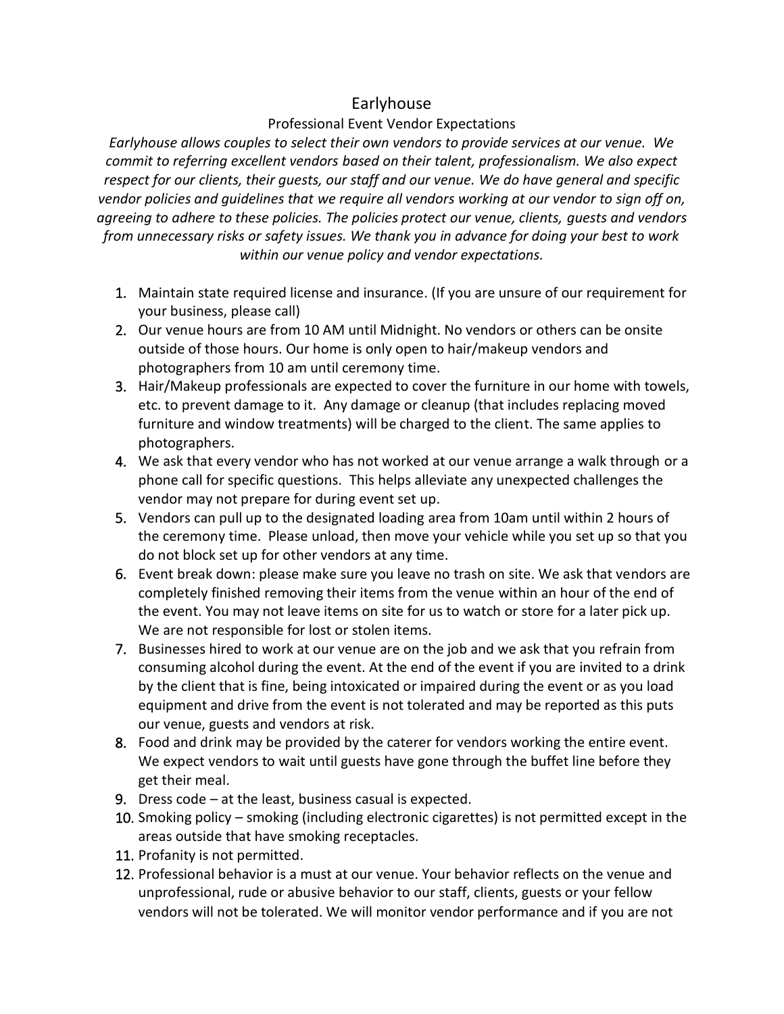## Earlyhouse

## Professional Event Vendor Expectations

*Earlyhouse allows couples to select their own vendors to provide services at our venue. We commit to referring excellent vendors based on their talent, professionalism. We also expect respect for our clients, their guests, our staff and our venue. We do have general and specific vendor policies and guidelines that we require all vendors working at our vendor to sign off on, agreeing to adhere to these policies. The policies protect our venue, clients, guests and vendors from unnecessary risks or safety issues. We thank you in advance for doing your best to work within our venue policy and vendor expectations.* 

- 1. Maintain state required license and insurance. (If you are unsure of our requirement for your business, please call)
- 2. Our venue hours are from 10 AM until Midnight. No vendors or others can be onsite outside of those hours. Our home is only open to hair/makeup vendors and photographers from 10 am until ceremony time.
- 3. Hair/Makeup professionals are expected to cover the furniture in our home with towels, etc. to prevent damage to it. Any damage or cleanup (that includes replacing moved furniture and window treatments) will be charged to the client. The same applies to photographers.
- 4. We ask that every vendor who has not worked at our venue arrange a walk through or a phone call for specific questions. This helps alleviate any unexpected challenges the vendor may not prepare for during event set up.
- 5. Vendors can pull up to the designated loading area from 10am until within 2 hours of the ceremony time. Please unload, then move your vehicle while you set up so that you do not block set up for other vendors at any time.
- 6. Event break down: please make sure you leave no trash on site. We ask that vendors are completely finished removing their items from the venue within an hour of the end of the event. You may not leave items on site for us to watch or store for a later pick up. We are not responsible for lost or stolen items.
- 7. Businesses hired to work at our venue are on the job and we ask that you refrain from consuming alcohol during the event. At the end of the event if you are invited to a drink by the client that is fine, being intoxicated or impaired during the event or as you load equipment and drive from the event is not tolerated and may be reported as this puts our venue, guests and vendors at risk.
- 8. Food and drink may be provided by the caterer for vendors working the entire event. We expect vendors to wait until guests have gone through the buffet line before they get their meal.
- 9. Dress code at the least, business casual is expected.
- 10. Smoking policy smoking (including electronic cigarettes) is not permitted except in the areas outside that have smoking receptacles.
- 11. Profanity is not permitted.
- 12. Professional behavior is a must at our venue. Your behavior reflects on the venue and unprofessional, rude or abusive behavior to our staff, clients, guests or your fellow vendors will not be tolerated. We will monitor vendor performance and if you are not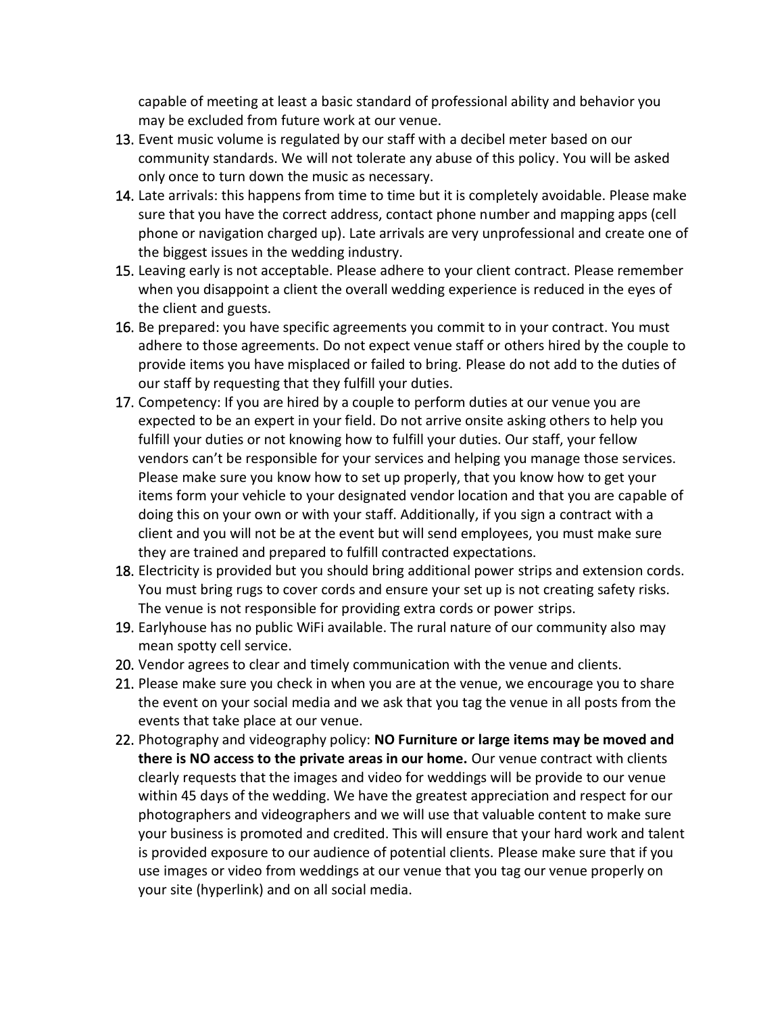capable of meeting at least a basic standard of professional ability and behavior you may be excluded from future work at our venue.

- 13. Event music volume is regulated by our staff with a decibel meter based on our community standards. We will not tolerate any abuse of this policy. You will be asked only once to turn down the music as necessary.
- 14. Late arrivals: this happens from time to time but it is completely avoidable. Please make sure that you have the correct address, contact phone number and mapping apps (cell phone or navigation charged up). Late arrivals are very unprofessional and create one of the biggest issues in the wedding industry.
- 15. Leaving early is not acceptable. Please adhere to your client contract. Please remember when you disappoint a client the overall wedding experience is reduced in the eyes of the client and guests.
- 16. Be prepared: you have specific agreements you commit to in your contract. You must adhere to those agreements. Do not expect venue staff or others hired by the couple to provide items you have misplaced or failed to bring. Please do not add to the duties of our staff by requesting that they fulfill your duties.
- 17. Competency: If you are hired by a couple to perform duties at our venue you are expected to be an expert in your field. Do not arrive onsite asking others to help you fulfill your duties or not knowing how to fulfill your duties. Our staff, your fellow vendors can't be responsible for your services and helping you manage those services. Please make sure you know how to set up properly, that you know how to get your items form your vehicle to your designated vendor location and that you are capable of doing this on your own or with your staff. Additionally, if you sign a contract with a client and you will not be at the event but will send employees, you must make sure they are trained and prepared to fulfill contracted expectations.
- 18. Electricity is provided but you should bring additional power strips and extension cords. You must bring rugs to cover cords and ensure your set up is not creating safety risks. The venue is not responsible for providing extra cords or power strips.
- 19. Earlyhouse has no public WiFi available. The rural nature of our community also may mean spotty cell service.
- 20. Vendor agrees to clear and timely communication with the venue and clients.
- 21. Please make sure you check in when you are at the venue, we encourage you to share the event on your social media and we ask that you tag the venue in all posts from the events that take place at our venue.
- 22. Photography and videography policy: **NO Furniture or large items may be moved and there is NO access to the private areas in our home.** Our venue contract with clients clearly requests that the images and video for weddings will be provide to our venue within 45 days of the wedding. We have the greatest appreciation and respect for our photographers and videographers and we will use that valuable content to make sure your business is promoted and credited. This will ensure that your hard work and talent is provided exposure to our audience of potential clients. Please make sure that if you use images or video from weddings at our venue that you tag our venue properly on your site (hyperlink) and on all social media.